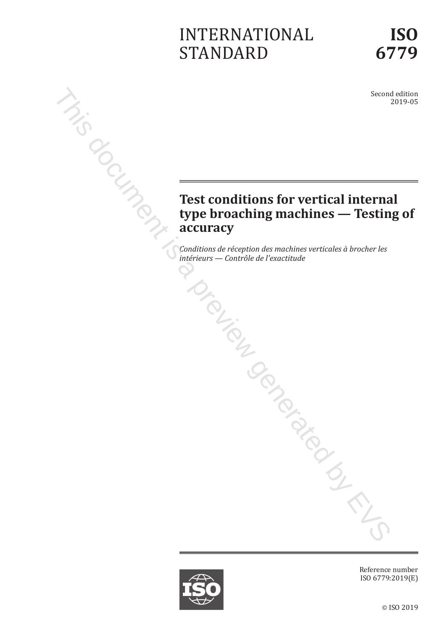# INTERNATIONAL STANDARD

Second edition 2019-05

# Test conditions for vertical internal<br>
type broaching machines — Testing<br>
Test conditions for vertical internal<br>
type broaching machines — Testing<br>
Testa d brocher les **type broaching machines — Testing of accuracy** This document is a preview generated by EVS

*Conditions de réception des machines verticales à brocher les intérieurs — Contrôle de l'exactitude*



Reference number ISO 6779:2019(E)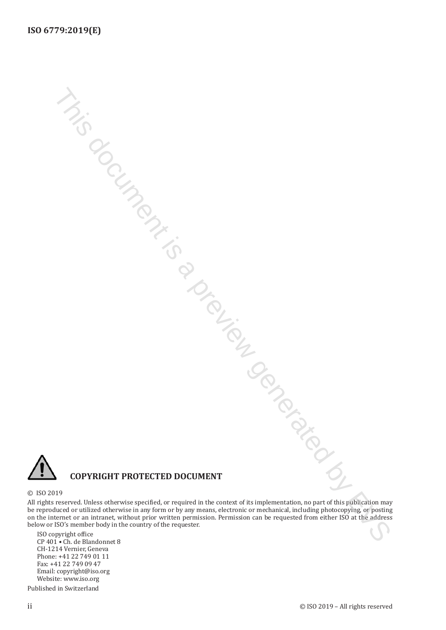

#### **COPYRIGHT PROTECTED DOCUMENT**

#### © ISO 2019

All rights reserved. Unless otherwise specified, or required in the context of its implementation, no part of this publication may be reproduced or utilized otherwise in any form or by any means, electronic or mechanical, including photocopying, or posting on the internet or an intranet, without prior written permission. Permission can be requested from either ISO at the address below or ISO's member body in the country of the requester. This document is a preview generated by EVS

ISO copyright office CP 401 • Ch. de Blandonnet 8 CH-1214 Vernier, Geneva Phone: +41 22 749 01 11 Fax: +41 22 749 09 47 Email: copyright@iso.org Website: www.iso.org

Published in Switzerland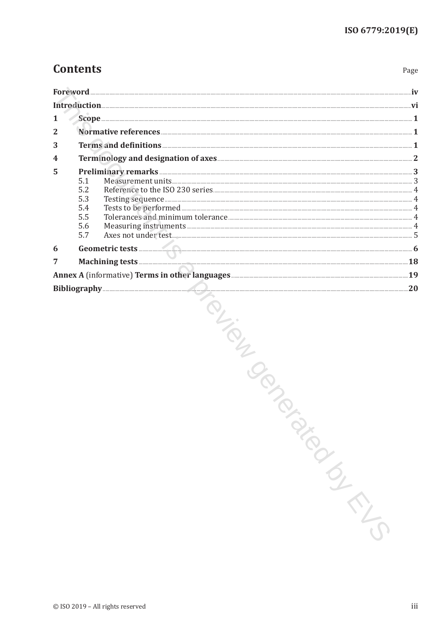Page

# **Contents**

| 1              |                                                                                                                       |  |
|----------------|-----------------------------------------------------------------------------------------------------------------------|--|
| $\overline{2}$ |                                                                                                                       |  |
| 3              | Terms and definitions <b>Executive Construction</b> 1                                                                 |  |
| 4              | Terminology and designation of axes <b>Executive Strategie and American</b> 2                                         |  |
| 5              | 5.1<br>5.2<br>5.3<br>5.4<br>Tolerances and minimum tolerance <b>Exercised Service Contract A</b><br>5.5<br>5.6<br>5.7 |  |
| 6              | Geometric tests <b>contract tests</b> 6                                                                               |  |
| 7              |                                                                                                                       |  |
|                | Bibliography 20                                                                                                       |  |
|                | <b>Server</b>                                                                                                         |  |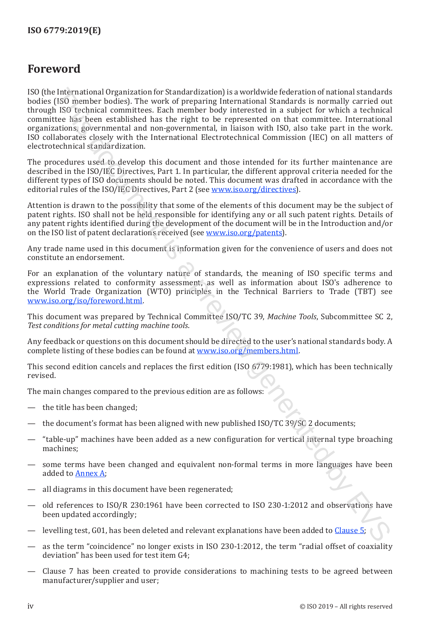# <span id="page-3-0"></span>**Foreword**

ISO (the International Organization for Standardization) is a worldwide federation of national standards bodies (ISO member bodies). The work of preparing International Standards is normally carried out through ISO technical committees. Each member body interested in a subject for which a technical committee has been established has the right to be represented on that committee. International organizations, governmental and non-governmental, in liaison with ISO, also take part in the work. ISO collaborates closely with the International Electrotechnical Commission (IEC) on all matters of electrotechnical standardization. International Of granistation for Standardization) is a [w](https://www.iso.org/members.html)orldwide detection of rational strandardization (SIS) tensible detection of rational strandardization of rational strandardization (ISO technical committees. Each m

The procedures used to develop this document and those intended for its further maintenance are described in the ISO/IEC Directives, Part 1. In particular, the different approval criteria needed for the different types of ISO documents should be noted. This document was drafted in accordance with the editorial rules of the ISO/IEC Directives, Part 2 (see www.iso.org/directives).

Attention is drawn to the possibility that some of the elements of this document may be the subject of patent rights. ISO shall not be held responsible for identifying any or all such patent rights. Details of any patent rights identified during the development of the document will be in the Introduction and/or on the ISO list of patent declarations received (see www.iso.org/patents).

Any trade name used in this document is information given for the convenience of users and does not constitute an endorsement.

For an explanation of the voluntary nature of standards, the meaning of ISO specific terms and expressions related to conformity assessment, as well as information about ISO's adherence to the World Trade Organization (WTO) principles in the Technical Barriers to Trade (TBT) see www.iso.org/iso/foreword.html.

This document was prepared by Technical Committee ISO/TC 39, *Machine Tools*, Subcommittee SC 2, *Test conditions for metal cutting machine tools*.

Any feedback or questions on this document should be directed to the user's national standards body. A complete listing of these bodies can be found at www.iso.org/members.html.

This second edition cancels and replaces the first edition (ISO 6779:1981), which has been technically revised.

The main changes compared to the previous edition are as follows:

- the title has been changed;
- the document's format has been aligned with new published ISO/TC 39/SC 2 documents;
- "table-up" machines have been added as a new configuration for vertical internal type broaching machines;
- some terms have been changed and equivalent non-formal terms in more languages have been added to Annex A;
- all diagrams in this document have been regenerated;
- old references to ISO/R 230:1961 have been corrected to ISO 230-1:2012 and observations have been updated accordingly;
- levelling test, G01, has been deleted and relevant explanations have been added to Clause 5;
- as the term "coincidence" no longer exists in ISO 230-1:2012, the term "radial offset of coaxiality deviation" has been used for test item G4;
- Clause 7 has been created to provide considerations to machining tests to be agreed between manufacturer/supplier and user;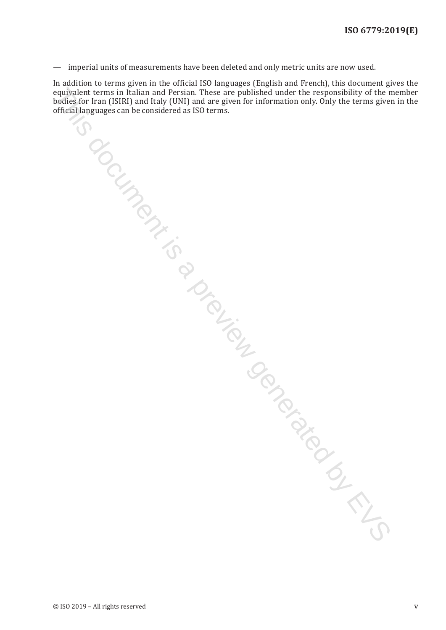— imperial units of measurements have been deleted and only metric units are now used.

In addition to terms given in the official ISO languages (English and French), this document gives the equivalent terms in Italian and Persian. These are published under the responsibility of the member bodies for Iran (ISIRI) and Italy (UNI) and are given for information only. Only the terms given in the official languages can be considered as ISO terms. equivalent turns in lightar and Pressim. These are published under the responsibility of the information of the form (SIRI) and Italy (UNI) and are given for information only. Only the terms given of missiling a can be con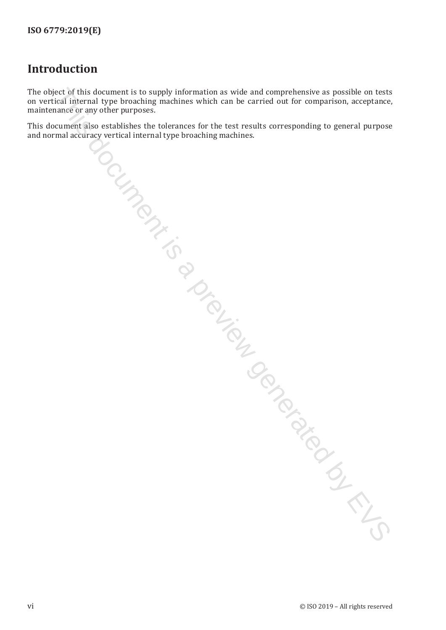## <span id="page-5-0"></span>**Introduction**

The object of this document is to supply information as wide and comprehensive as possible on tests on vertical internal type broaching machines which can be carried out for comparison, acceptance, on vertical internal type broaching machines which can be carried out for comparison, acceptance, maintenance or any other purposes. er et this document is to supply information as wide and comprehensive as possible on tests contained by the carrier of the carrier of the comparison, acceptance, and containing and the carrier of the carrier of the compar

This document also establishes the tolerances for the test results corresponding to general purpose and normal accuracy vertical internal type broaching machines.